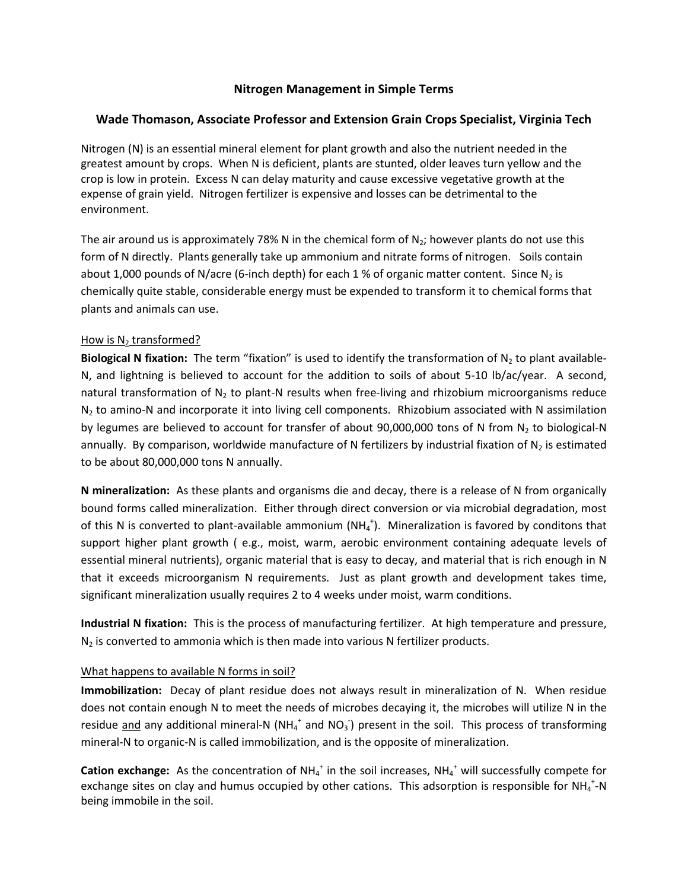# **Nitrogen Management in Simple Terms**

## **Wade Thomason, Associate Professor and Extension Grain Crops Specialist, Virginia Tech**

Nitrogen (N) is an essential mineral element for plant growth and also the nutrient needed in the greatest amount by crops. When N is deficient, plants are stunted, older leaves turn yellow and the crop is low in protein. Excess N can delay maturity and cause excessive vegetative growth at the expense of grain yield. Nitrogen fertilizer is expensive and losses can be detrimental to the environment.

The air around us is approximately 78% N in the chemical form of  $N_2$ ; however plants do not use this form of N directly. Plants generally take up ammonium and nitrate forms of nitrogen. Soils contain about 1,000 pounds of N/acre (6-inch depth) for each 1 % of organic matter content. Since  $N_2$  is chemically quite stable, considerable energy must be expended to transform it to chemical forms that plants and animals can use.

#### How is  $N_2$  transformed?

**Biological N fixation:** The term "fixation" is used to identify the transformation of  $N_2$  to plant available-N, and lightning is believed to account for the addition to soils of about 5-10 lb/ac/year. A second, natural transformation of  $N_2$  to plant-N results when free-living and rhizobium microorganisms reduce  $N<sub>2</sub>$  to amino-N and incorporate it into living cell components. Rhizobium associated with N assimilation by legumes are believed to account for transfer of about 90,000,000 tons of N from  $N_2$  to biological-N annually. By comparison, worldwide manufacture of N fertilizers by industrial fixation of  $N_2$  is estimated to be about 80,000,000 tons N annually.

**N mineralization:** As these plants and organisms die and decay, there is a release of N from organically bound forms called mineralization. Either through direct conversion or via microbial degradation, most of this N is converted to plant-available ammonium (NH<sub>4</sub><sup>+</sup>). Mineralization is favored by conditons that support higher plant growth ( e.g., moist, warm, aerobic environment containing adequate levels of essential mineral nutrients), organic material that is easy to decay, and material that is rich enough in N that it exceeds microorganism N requirements. Just as plant growth and development takes time, significant mineralization usually requires 2 to 4 weeks under moist, warm conditions.

**Industrial N fixation:** This is the process of manufacturing fertilizer. At high temperature and pressure,  $N_2$  is converted to ammonia which is then made into various N fertilizer products.

#### What happens to available N forms in soil?

**Immobilization:** Decay of plant residue does not always result in mineralization of N. When residue does not contain enough N to meet the needs of microbes decaying it, the microbes will utilize N in the residue and any additional mineral-N (NH<sub>4</sub><sup>+</sup> and NO<sub>3</sub><sup>-</sup>) present in the soil. This process of transforming mineral-N to organic-N is called immobilization, and is the opposite of mineralization.

Cation exchange: As the concentration of NH<sub>4</sub><sup>+</sup> in the soil increases, NH<sub>4</sub><sup>+</sup> will successfully compete for exchange sites on clay and humus occupied by other cations. This adsorption is responsible for NH<sub>4</sub><sup>+</sup>-N being immobile in the soil.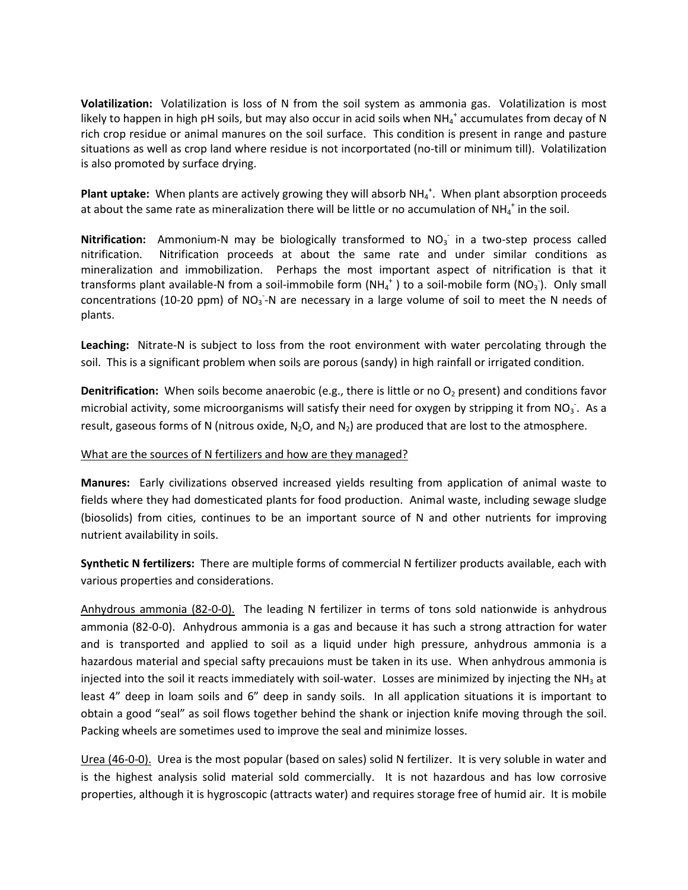**Volatilization:** Volatilization is loss of N from the soil system as ammonia gas. Volatilization is most likely to happen in high pH soils, but may also occur in acid soils when NH<sub>4</sub><sup>+</sup> accumulates from decay of N rich crop residue or animal manures on the soil surface. This condition is present in range and pasture situations as well as crop land where residue is not incorportated (no-till or minimum till). Volatilization is also promoted by surface drying.

Plant uptake: When plants are actively growing they will absorb NH<sub>4</sub><sup>+</sup>. When plant absorption proceeds at about the same rate as mineralization there will be little or no accumulation of NH<sub>4</sub><sup>+</sup> in the soil.

Nitrification: Ammonium-N may be biologically transformed to NO<sub>3</sub> in a two-step process called nitrification. Nitrification proceeds at about the same rate and under similar conditions as mineralization and immobilization. Perhaps the most important aspect of nitrification is that it transforms plant available-N from a soil-immobile form  $(NH_4^+)$  to a soil-mobile form  $(NO_3^-)$ . Only small concentrations (10-20 ppm) of NO<sub>3</sub>-N are necessary in a large volume of soil to meet the N needs of plants.

**Leaching:** Nitrate-N is subject to loss from the root environment with water percolating through the soil. This is a significant problem when soils are porous (sandy) in high rainfall or irrigated condition.

**Denitrification:** When soils become anaerobic (e.g., there is little or no O<sub>2</sub> present) and conditions favor microbial activity, some microorganisms will satisfy their need for oxygen by stripping it from NO<sub>3</sub>. As a result, gaseous forms of N (nitrous oxide,  $N_2O$ , and  $N_2$ ) are produced that are lost to the atmosphere.

#### What are the sources of N fertilizers and how are they managed?

**Manures:** Early civilizations observed increased yields resulting from application of animal waste to fields where they had domesticated plants for food production. Animal waste, including sewage sludge (biosolids) from cities, continues to be an important source of N and other nutrients for improving nutrient availability in soils.

**Synthetic N fertilizers:** There are multiple forms of commercial N fertilizer products available, each with various properties and considerations.

Anhydrous ammonia (82-0-0). The leading N fertilizer in terms of tons sold nationwide is anhydrous ammonia (82-0-0). Anhydrous ammonia is a gas and because it has such a strong attraction for water and is transported and applied to soil as a liquid under high pressure, anhydrous ammonia is a hazardous material and special safty precauions must be taken in its use. When anhydrous ammonia is injected into the soil it reacts immediately with soil-water. Losses are minimized by injecting the  $NH<sub>3</sub>$  at least 4" deep in loam soils and 6" deep in sandy soils. In all application situations it is important to obtain a good "seal" as soil flows together behind the shank or injection knife moving through the soil. Packing wheels are sometimes used to improve the seal and minimize losses.

Urea (46-0-0). Urea is the most popular (based on sales) solid N fertilizer. It is very soluble in water and is the highest analysis solid material sold commercially. It is not hazardous and has low corrosive properties, although it is hygroscopic (attracts water) and requires storage free of humid air. It is mobile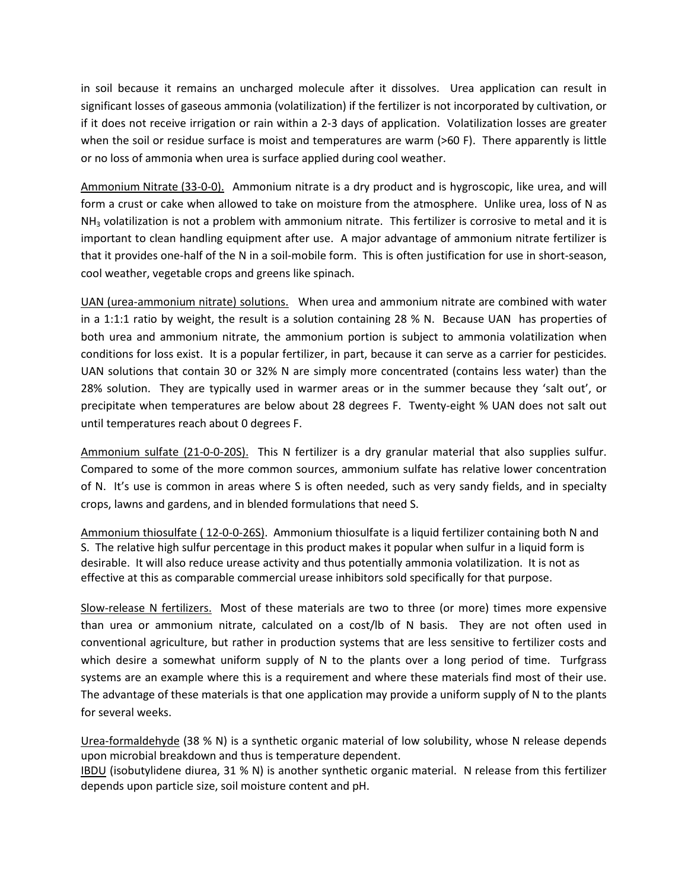in soil because it remains an uncharged molecule after it dissolves. Urea application can result in significant losses of gaseous ammonia (volatilization) if the fertilizer is not incorporated by cultivation, or if it does not receive irrigation or rain within a 2-3 days of application. Volatilization losses are greater when the soil or residue surface is moist and temperatures are warm (>60 F). There apparently is little or no loss of ammonia when urea is surface applied during cool weather.

Ammonium Nitrate (33-0-0). Ammonium nitrate is a dry product and is hygroscopic, like urea, and will form a crust or cake when allowed to take on moisture from the atmosphere. Unlike urea, loss of N as  $NH<sub>3</sub>$  volatilization is not a problem with ammonium nitrate. This fertilizer is corrosive to metal and it is important to clean handling equipment after use. A major advantage of ammonium nitrate fertilizer is that it provides one-half of the N in a soil-mobile form. This is often justification for use in short-season, cool weather, vegetable crops and greens like spinach.

UAN (urea-ammonium nitrate) solutions. When urea and ammonium nitrate are combined with water in a 1:1:1 ratio by weight, the result is a solution containing 28 % N. Because UAN has properties of both urea and ammonium nitrate, the ammonium portion is subject to ammonia volatilization when conditions for loss exist. It is a popular fertilizer, in part, because it can serve as a carrier for pesticides. UAN solutions that contain 30 or 32% N are simply more concentrated (contains less water) than the 28% solution. They are typically used in warmer areas or in the summer because they 'salt out', or precipitate when temperatures are below about 28 degrees F. Twenty-eight % UAN does not salt out until temperatures reach about 0 degrees F.

Ammonium sulfate (21-0-0-20S). This N fertilizer is a dry granular material that also supplies sulfur. Compared to some of the more common sources, ammonium sulfate has relative lower concentration of N. It's use is common in areas where S is often needed, such as very sandy fields, and in specialty crops, lawns and gardens, and in blended formulations that need S.

Ammonium thiosulfate ( 12-0-0-26S). Ammonium thiosulfate is a liquid fertilizer containing both N and S. The relative high sulfur percentage in this product makes it popular when sulfur in a liquid form is desirable. It will also reduce urease activity and thus potentially ammonia volatilization. It is not as effective at this as comparable commercial urease inhibitors sold specifically for that purpose.

Slow-release N fertilizers. Most of these materials are two to three (or more) times more expensive than urea or ammonium nitrate, calculated on a cost/lb of N basis. They are not often used in conventional agriculture, but rather in production systems that are less sensitive to fertilizer costs and which desire a somewhat uniform supply of N to the plants over a long period of time. Turfgrass systems are an example where this is a requirement and where these materials find most of their use. The advantage of these materials is that one application may provide a uniform supply of N to the plants for several weeks.

Urea-formaldehyde (38 % N) is a synthetic organic material of low solubility, whose N release depends upon microbial breakdown and thus is temperature dependent.

IBDU (isobutylidene diurea, 31 % N) is another synthetic organic material. N release from this fertilizer depends upon particle size, soil moisture content and pH.